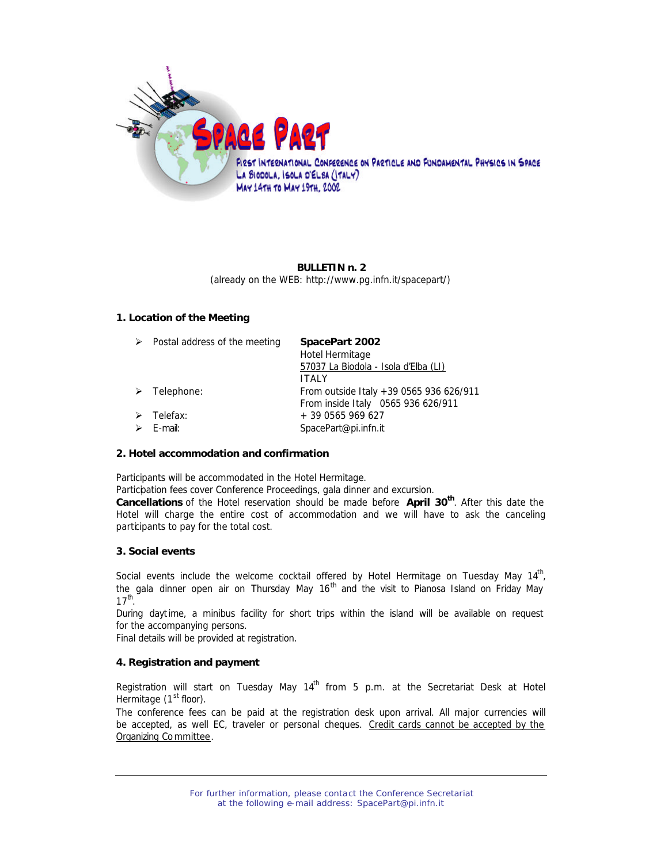

# **BULLETIN n. 2** (already on the WEB: http://www.pg.infn.it/spacepart/)

# **1. Location of the Meeting**

| $\triangleright$ Postal address of the meeting        | SpacePart 2002<br>Hotel Hermitage<br>57037 La Biodola - Isola d'Elba (LI)<br><b>ITALY</b> |
|-------------------------------------------------------|-------------------------------------------------------------------------------------------|
| $\triangleright$ Telephone:                           | From outside Italy +39 0565 936 626/911<br>From inside Italy 0565 936 626/911             |
| $\triangleright$ Telefax:<br>$\triangleright$ E-mail: | + 39 0565 969 627<br>SpacePart@pi.infn.it                                                 |

## **2. Hotel accommodation and confirmation**

Participants will be accommodated in the Hotel Hermitage.

Participation fees cover Conference Proceedings, gala dinner and excursion.

**Cancellations** of the Hotel reservation should be made before **April 30th**. After this date the Hotel will charge the entire cost of accommodation and we will have to ask the canceling participants to pay for the total cost.

## **3. Social events**

Social events include the welcome cocktail offered by Hotel Hermitage on Tuesday May 14<sup>th</sup>, the gala dinner *open air* on Thursday May 16<sup>th</sup> and the visit to Pianosa Island on Friday May  $17^{\text{th}}$ .

During daytime, a minibus facility for short trips within the island will be available on request for the accompanying persons.

Final details will be provided at registration.

# **4. Registration and payment**

Registration will start on Tuesday May  $14<sup>th</sup>$  from 5 p.m. at the Secretariat Desk at Hotel Hermitage  $(1<sup>st</sup>$  floor).

The conference fees can be paid at the registration desk upon arrival. All major currencies will be accepted, as well EC, traveler or personal cheques. Credit cards cannot be accepted by the Organizing Committee.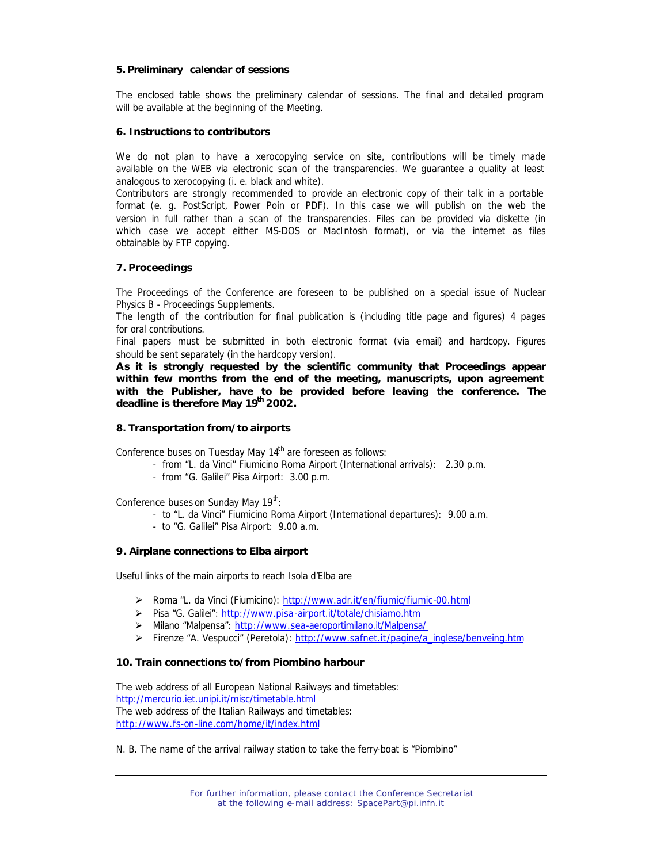#### **5. Preliminary calendar of sessions**

The enclosed table shows the preliminary calendar of sessions. The final and detailed program will be available at the beginning of the Meeting.

#### **6. Instructions to contributors**

We do not plan to have a xerocopying service on site, contributions will be timely made available on the WEB via electronic scan of the transparencies. We guarantee a quality at least analogous to xerocopying (i. e. black and white).

Contributors are strongly recommended to provide an electronic copy of their talk in a portable format (e. g. PostScript, Power Poin or PDF). In this case we will publish on the web the version in full rather than a scan of the transparencies. Files can be provided via diskette (in which case we accept either MS-DOS or MacIntosh format), or via the internet as files obtainable by FTP copying.

## **7. Proceedings**

The Proceedings of the Conference are foreseen to be published on a special issue of Nuclear Physics B - Proceedings Supplements.

The length of the contribution for final publication is (including title page and figures) 4 pages for oral contributions.

Final papers must be submitted in both electronic format (via e-mail) and hardcopy. Figures should be sent separately (in the hardcopy version).

**As it is strongly requested by the scientific community that Proceedings appear within few months from the end of the meeting, manuscripts, upon agreement with the Publisher, have to be provided before leaving the conference. The deadline is therefore May 19th 2002.**

#### **8. Transportation from/to airports**

Conference buses on Tuesday May 14<sup>th</sup> are foreseen as follows:

- from "L. da Vinci" Fiumicino Roma Airport (International arrivals): 2.30 p.m.
- from "G. Galilei" Pisa Airport: 3.00 p.m.

Conference buses on Sunday May 19<sup>th</sup>:

- to "L. da Vinci" Fiumicino Roma Airport (International departures): 9.00 a.m.
- to "G. Galilei" Pisa Airport: 9.00 a.m.

## **9. Airplane connections to Elba airport**

Useful links of the main airports to reach Isola d'Elba are

- ÿ Roma "L. da Vinci (Fiumicino): http://www.adr.it/en/fiumic/fiumic-00.html
- ÿ Pisa "G. Galilei": http://www.pisa-airport.it/totale/chisiamo.htm
- ÿ Milano "Malpensa": http://www.sea-aeroportimilano.it/Malpensa/
- > Firenze "A. Vespucci" (Peretola): http://www.safnet.it/pagine/a\_inglese/benveing.htm

## **10. Train connections to/from Piombino harbour**

The web address of all European National Railways and timetables: http://mercurio.iet.unipi.it/misc/timetable.html The web address of the Italian Railways and timetables: http://www.fs-on-line.com/home/it/index.html

#### *N. B. The name of the arrival railway station to take the ferry-boat is "Piombino"*